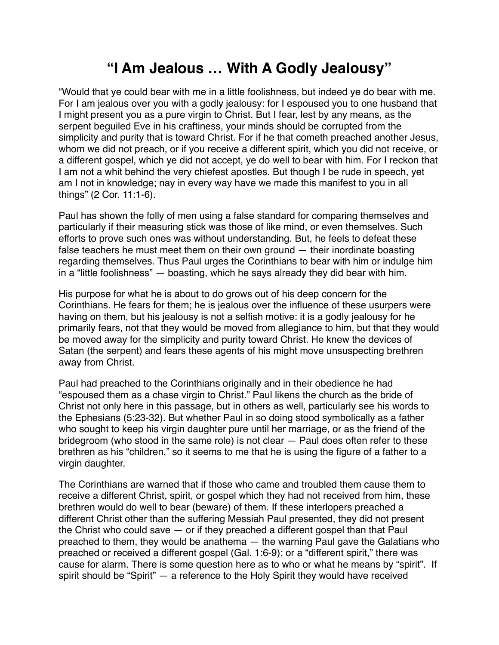## **"I Am Jealous … With A Godly Jealousy"**

"Would that ye could bear with me in a little foolishness, but indeed ye do bear with me. For I am jealous over you with a godly jealousy: for I espoused you to one husband that I might present you as a pure virgin to Christ. But I fear, lest by any means, as the serpent beguiled Eve in his craftiness, your minds should be corrupted from the simplicity and purity that is toward Christ. For if he that cometh preached another Jesus, whom we did not preach, or if you receive a different spirit, which you did not receive, or a different gospel, which ye did not accept, ye do well to bear with him. For I reckon that I am not a whit behind the very chiefest apostles. But though I be rude in speech, yet am I not in knowledge; nay in every way have we made this manifest to you in all things" (2 Cor. 11:1-6).

Paul has shown the folly of men using a false standard for comparing themselves and particularly if their measuring stick was those of like mind, or even themselves. Such efforts to prove such ones was without understanding. But, he feels to defeat these false teachers he must meet them on their own ground — their inordinate boasting regarding themselves. Thus Paul urges the Corinthians to bear with him or indulge him in a "little foolishness" — boasting, which he says already they did bear with him.

His purpose for what he is about to do grows out of his deep concern for the Corinthians. He fears for them; he is jealous over the influence of these usurpers were having on them, but his jealousy is not a selfish motive: it is a godly jealousy for he primarily fears, not that they would be moved from allegiance to him, but that they would be moved away for the simplicity and purity toward Christ. He knew the devices of Satan (the serpent) and fears these agents of his might move unsuspecting brethren away from Christ.

Paul had preached to the Corinthians originally and in their obedience he had "espoused them as a chase virgin to Christ." Paul likens the church as the bride of Christ not only here in this passage, but in others as well, particularly see his words to the Ephesians (5:23-32). But whether Paul in so doing stood symbolically as a father who sought to keep his virgin daughter pure until her marriage, or as the friend of the bridegroom (who stood in the same role) is not clear — Paul does often refer to these brethren as his "children," so it seems to me that he is using the figure of a father to a virgin daughter.

The Corinthians are warned that if those who came and troubled them cause them to receive a different Christ, spirit, or gospel which they had not received from him, these brethren would do well to bear (beware) of them. If these interlopers preached a different Christ other than the suffering Messiah Paul presented, they did not present the Christ who could save — or if they preached a different gospel than that Paul preached to them, they would be anathema — the warning Paul gave the Galatians who preached or received a different gospel (Gal. 1:6-9); or a "different spirit," there was cause for alarm. There is some question here as to who or what he means by "spirit". If spirit should be "Spirit" — a reference to the Holy Spirit they would have received